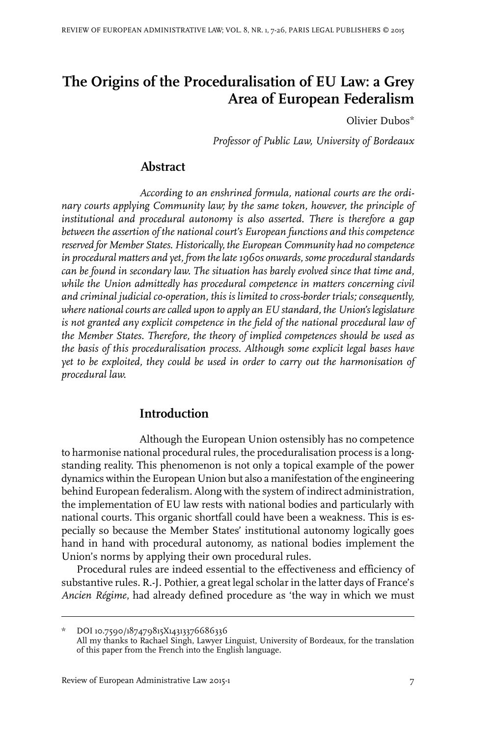# **The Origins of the Proceduralisation of EU Law: a Grey Area of European Federalism**

Olivier Dubos\*

*Professor of Public Law, University of Bordeaux*

# **Abstract**

*According to an enshrined formula, national courts are the ordinary courts applying Community law; by the same token, however, the principle of institutional and procedural autonomy is also asserted. There is therefore a gap between the assertion of the national court's European functions and this competence reserved for Member States. Historically, the European Community had no competence in procedural matters and yet, from thelate1960s onwards, some procedural standards can be found in secondary law. The situation has barely evolved since that time and, while the Union admittedly has procedural competence in matters concerning civil and criminal judicial co-operation, this is limited to cross-border trials; consequently, where nationalcourts arecalled upon to apply an EU standard, the Union's legislature is not granted any explicit competence in the field of the national procedural law of the Member States. Therefore, the theory of implied competences should be used as the basis of this proceduralisation process. Although some explicit legal bases have yet to be exploited, they could be used in order to carry out the harmonisation of procedural law.*

# **Introduction**

Although the European Union ostensibly has no competence to harmonise national procedural rules, the proceduralisation process is a longstanding reality. This phenomenon is not only a topical example of the power dynamics within the European Union but also a manifestation of the engineering behind European federalism. Along with the system of indirect administration, the implementation of EU law rests with national bodies and particularly with national courts. This organic shortfall could have been a weakness. This is especially so because the Member States' institutional autonomy logically goes hand in hand with procedural autonomy, as national bodies implement the Union's norms by applying their own procedural rules.

Procedural rules are indeed essential to the effectiveness and efficiency of substantive rules. R.-J. Pothier, a great legal scholar in the latter days of France's *Ancien Régime*, had already defined procedure as 'the way in which we must

<sup>\*</sup> DOI10.7590/187479815X14313376686336

All my thanks to Rachael Singh, Lawyer Linguist, University of Bordeaux, for the translation of this paper from the French into the English language.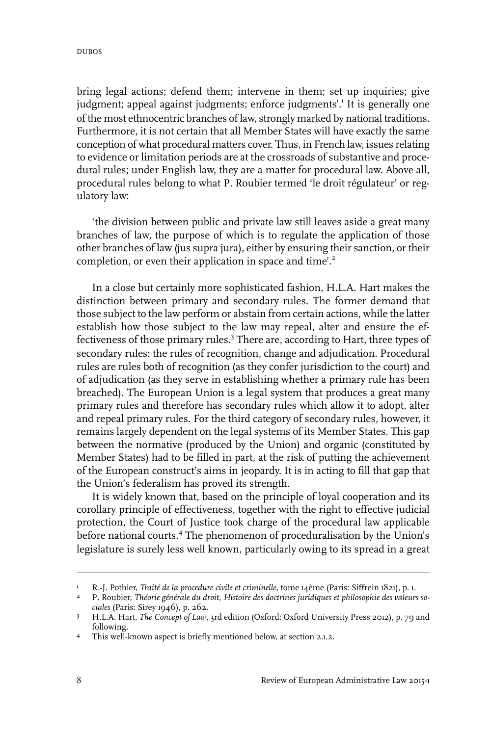bring legal actions; defend them; intervene in them; set up inquiries; give judgment; appeal against judgments; enforce judgments'.<sup>1</sup> It is generally one of the most ethnocentric branches of law, strongly marked by national traditions. Furthermore, it is not certain that all Member States will have exactly the same conception of what procedural matters cover. Thus, in French law, issues relating to evidence or limitation periods are at the crossroads of substantive and procedural rules; under English law, they are a matter for procedural law. Above all, procedural rules belong to what P. Roubier termed 'le droit régulateur' or regulatory law:

'the division between public and private law still leaves aside a great many branches of law, the purpose of which is to regulate the application of those other branches of law (jus supra jura), either by ensuring their sanction, or their completion, or even their application in space and time'.<sup>2</sup>

In a close but certainly more sophisticated fashion, H.L.A. Hart makes the distinction between primary and secondary rules. The former demand that those subject to the law perform or abstain from certain actions, while the latter establish how those subject to the law may repeal, alter and ensure the effectiveness of those primary rules.<sup>3</sup> There are, according to Hart, three types of secondary rules: the rules of recognition, change and adjudication. Procedural rules are rules both of recognition (as they confer jurisdiction to the court) and of adjudication (as they serve in establishing whether a primary rule has been breached). The European Union is a legal system that produces a great many primary rules and therefore has secondary rules which allow it to adopt, alter and repeal primary rules. For the third category of secondary rules, however, it remains largely dependent on the legal systems of its Member States. This gap between the normative (produced by the Union) and organic (constituted by Member States) had to be filled in part, at the risk of putting the achievement of the European construct's aims in jeopardy. It is in acting to fill that gap that the Union's federalism has proved its strength.

It is widely known that, based on the principle of loyal cooperation and its corollary principle of effectiveness, together with the right to effective judicial protection, the Court of Justice took charge of the procedural law applicable before national courts.<sup>4</sup> The phenomenon of proceduralisation by the Union's legislature is surely less well known, particularly owing to its spread in a great

R.-J. Pothier, *Traité de la procedure civile et criminelle*, tome 14ème (Paris: Siffrein 1821), p. 1. <sup>1</sup>

P. Roubier, *Théorie générale du droit, Histoire des doctrines juridiques et philosophie des valeurs sociales* (Paris: Sirey 1946), p. 262. 2

H.L.A. Hart, *The Concept of Law*, 3rd edition (Oxford: Oxford University Press 2012), p. 79 and following. 3

This well-known aspect is briefly mentioned below, at section 2.1.2. <sup>4</sup>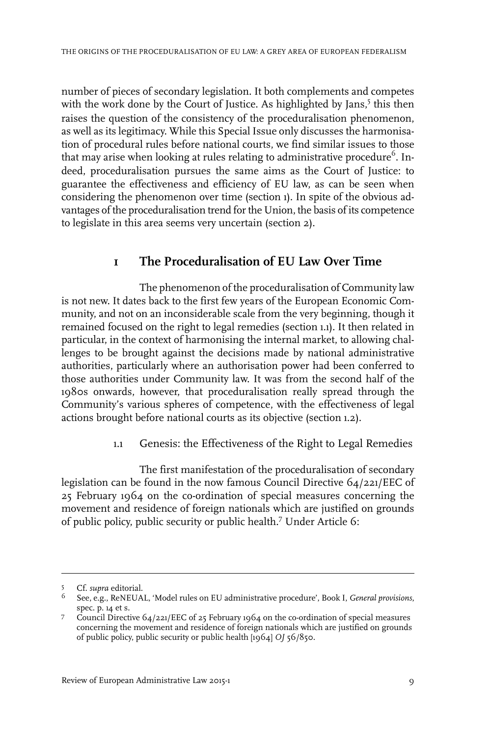number of pieces of secondary legislation. It both complements and competes with the work done by the Court of Justice. As highlighted by Jans,<sup>5</sup> this then raises the question of the consistency of the proceduralisation phenomenon, as well as its legitimacy. While this Special Issue only discusses the harmonisation of procedural rules before national courts, we find similar issues to those that may arise when looking at rules relating to administrative procedure $^6$ . Indeed, proceduralisation pursues the same aims as the Court of Justice: to guarantee the effectiveness and efficiency of EU law, as can be seen when considering the phenomenon over time (section 1). In spite of the obvious advantages of the proceduralisation trend forthe Union, the basis of its competence to legislate in this area seems very uncertain (section 2).

## **1 The Proceduralisation of EU Law Over Time**

The phenomenon of the proceduralisation of Community law is not new. It dates back to the first few years of the European Economic Community, and not on an inconsiderable scale from the very beginning, though it remained focused on the right to legal remedies (section 1.1). It then related in particular, in the context of harmonising the internal market, to allowing challenges to be brought against the decisions made by national administrative authorities, particularly where an authorisation power had been conferred to those authorities under Community law. It was from the second half of the 1980s onwards, however, that proceduralisation really spread through the Community's various spheres of competence, with the effectiveness of legal actions brought before national courts as its objective (section 1.2).

### 1.1 Genesis: the Effectiveness of the Right to Legal Remedies

The first manifestation of the proceduralisation of secondary legislation can be found in the now famous Council Directive 64/221/EEC of 25 February 1964 on the co-ordination of special measures concerning the movement and residence of foreign nationals which are justified on grounds of public policy, public security or public health.<sup>7</sup> Under Article 6:

Cf. *supra* editorial. <sup>5</sup>

See, e.g., ReNEUAL, 'Model rules on EU administrative procedure', Book I, *General provisions*, 6 spec. p. 14 et s.

Council Directive 64/221/EEC of 25 February 1964 on the co-ordination of special measures concerning the movement and residence of foreign nationals which are justified on grounds of public policy, public security or public health [1964] *OJ* 56/850. 7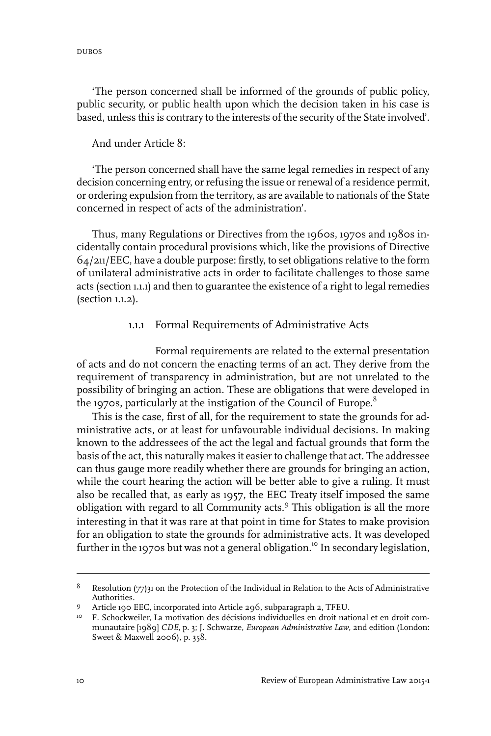'The person concerned shall be informed of the grounds of public policy, public security, or public health upon which the decision taken in his case is based, unless this is contrary to the interests of the security of the State involved'.

And under Article 8:

'The person concerned shall have the same legal remedies in respect of any decision concerning entry, or refusing the issue or renewal of a residence permit, or ordering expulsion from the territory, as are available to nationals of the State concerned in respect of acts of the administration'.

Thus, many Regulations or Directives from the 1960s, 1970s and 1980s incidentally contain procedural provisions which, like the provisions of Directive 64/211/EEC, have a double purpose: firstly, to set obligations relative to the form of unilateral administrative acts in order to facilitate challenges to those same acts (section 1.1.1) and then to guarantee the existence of a right to legal remedies (section 1.1.2).

#### 1.1.1 Formal Requirements of Administrative Acts

Formal requirements are related to the external presentation of acts and do not concern the enacting terms of an act. They derive from the requirement of transparency in administration, but are not unrelated to the possibility of bringing an action. These are obligations that were developed in the 1970s, particularly at the instigation of the Council of Europe.<sup>8</sup>

This is the case, first of all, for the requirement to state the grounds for administrative acts, or at least for unfavourable individual decisions. In making known to the addressees of the act the legal and factual grounds that form the basis of the act, this naturally makes it easier to challenge that act. The addressee can thus gauge more readily whether there are grounds for bringing an action, while the court hearing the action will be better able to give a ruling. It must also be recalled that, as early as 1957, the EEC Treaty itself imposed the same obligation with regard to all Community acts.<sup>9</sup> This obligation is all the more interesting in that it was rare at that point in time for States to make provision for an obligation to state the grounds for administrative acts. It was developed further in the 1970s but was not a general obligation.<sup>10</sup> In secondary legislation,

Resolution (77)31 on the Protection of the Individual in Relation to the Acts of Administrative Authorities. 8

<sup>9</sup> Article 190 EEC, incorporated into Article 296, subparagraph 2, TFEU.

<sup>&</sup>lt;sup>10</sup> F. Schockweiler, La motivation des décisions individuelles en droit national et en droit communautaire [1989] *CDE*, p. 3; J. Schwarze, *European Administrative Law*, 2nd edition (London: Sweet & Maxwell 2006), p. 358.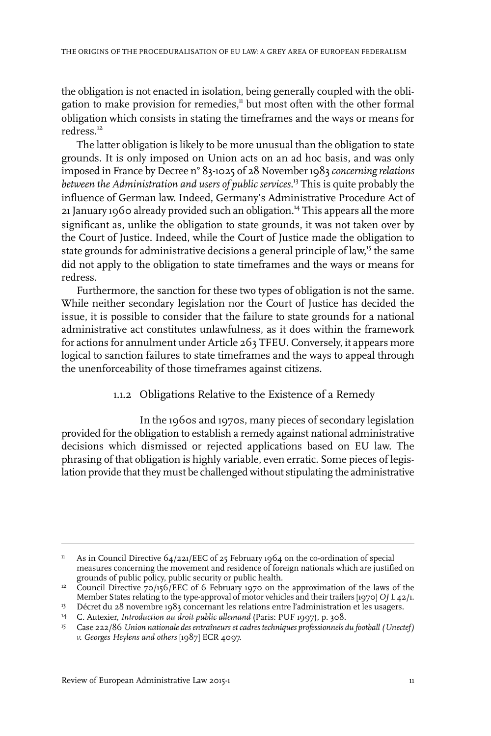the obligation is not enacted in isolation, being generally coupled with the obligation to make provision for remedies, $\frac{n}{h}$  but most often with the other formal obligation which consists in stating the timeframes and the ways or means for redress<sup>12</sup>

The latter obligation is likely to be more unusual than the obligation to state grounds. It is only imposed on Union acts on an ad hoc basis, and was only imposed in France by Decree n° 83-1025 of 28 November1983 *concerning relations between the Administration and users of public services.*<sup>13</sup> This is quite probably the influence of German law. Indeed, Germany's Administrative Procedure Act of 21 January 1960 already provided such an obligation.<sup>14</sup> This appears all the more significant as, unlike the obligation to state grounds, it was not taken over by the Court of Justice. Indeed, while the Court of Justice made the obligation to state grounds for administrative decisions a general principle of law,<sup>15</sup> the same did not apply to the obligation to state timeframes and the ways or means for redress.

Furthermore, the sanction for these two types of obligation is not the same. While neither secondary legislation nor the Court of Justice has decided the issue, it is possible to consider that the failure to state grounds for a national administrative act constitutes unlawfulness, as it does within the framework for actions for annulment under Article 263 TFEU. Conversely, it appears more logical to sanction failures to state timeframes and the ways to appeal through the unenforceability of those timeframes against citizens.

#### 1.1.2 Obligations Relative to the Existence of a Remedy

In the 1960s and 1970s, many pieces of secondary legislation provided for the obligation to establish a remedy against national administrative decisions which dismissed or rejected applications based on EU law. The phrasing of that obligation is highly variable, even erratic. Some pieces of legislation provide that they must be challenged without stipulating the administrative

As in Council Directive 64/221/EEC of 25 February 1964 on the co-ordination of special measures concerning the movement and residence of foreign nationals which are justified on grounds of public policy, public security or public health. 11

<sup>&</sup>lt;sup>12</sup> Council Directive  $70/156/EEC$  of 6 February 1970 on the approximation of the laws of the Member States relating to the type-approval of motor vehicles and their trailers [1970] *OJ* L 42/1.

<sup>&</sup>lt;sup>13</sup> Décret du 28 novembre 1983 concernant les relations entre l'administration et les usagers.

<sup>&</sup>lt;sup>14</sup> C. Autexier, *Introduction au droit public allemand* (Paris: PUF 1997), p. 308.

Case 222/86 *Union nationale desentraîneursetcadres techniques professionnels du football (Unectef)* 15 *v. Georges Heylens and others* [1987] ECR 4097.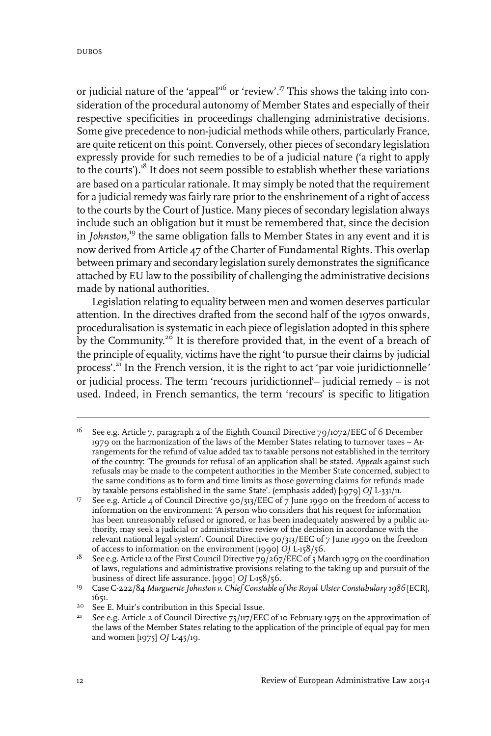or judicial nature of the 'appeal<sup>16</sup> or 'review'.<sup>17</sup> This shows the taking into consideration of the procedural autonomy of Member States and especially of their respective specificities in proceedings challenging administrative decisions. Some give precedence to non-judicial methods while others, particularly France, are quite reticent on this point. Conversely, other pieces of secondary legislation expressly provide for such remedies to be of a judicial nature ('a right to apply to the courts').<sup>18</sup> It does not seem possible to establish whether these variations are based on a particular rationale. It may simply be noted that the requirement for a judicial remedy was fairly rare prior to the enshrinement of a right of access to the courts by the Court of Justice. Many pieces of secondary legislation always include such an obligation but it must be remembered that, since the decision in *Johnston,*<sup>19</sup> the same obligation falls to Member States in any event and it is now derived from Article 47 of the Charter of Fundamental Rights. This overlap between primary and secondary legislation surely demonstrates the significance attached by EU law to the possibility of challenging the administrative decisions made by national authorities.

Legislation relating to equality between men and women deserves particular attention. In the directives drafted from the second half of the 1970s onwards, proceduralisation is systematic in each piece of legislation adopted in this sphere by the Community.<sup>20</sup> It is therefore provided that, in the event of a breach of the principle of equality, victims have the right 'to pursue their claims by judicial process'.<sup>21</sup> In the French version, it is the right to act 'par voie juridictionnelle*'* or judicial process. The term 'recours juridictionnel'– judicial remedy – is not used. Indeed, in French semantics, the term 'recours' is specific to litigation

<sup>&</sup>lt;sup>16</sup> See e.g. Article 7, paragraph 2 of the Eighth Council Directive 79/1072/EEC of 6 December 1979 on the harmonization of the laws of the Member States relating to turnover taxes – Arrangements for the refund of value added tax to taxable persons not established in the territory of the country: 'The grounds for refusal of an application shall be stated. *Appeals* against such refusals may be made to the competent authorities in the Member State concerned, subject to the same conditions as to form and time limits as those governing claims for refunds made by taxable persons established in the same State'. (emphasis added) [1979] *OJ* L-331/11.

See e.g. Article 4 of Council Directive 90/313/EEC of  $\overline{\gamma}$  June 1990 on the freedom of access to information on the environment: 'A person who considers that his request for information 17 has been unreasonably refused or ignored, or has been inadequately answered by a public authority, may seek a judicial or administrative review of the decision in accordance with the relevant national legal system'. Council Directive 90/313/EEC of 7 June 1990 on the freedom of access to information on the environment [1990] *OJ* L-158/56.

<sup>&</sup>lt;sup>18</sup> See e.g. Article 12 of the First Council Directive 79/267/EEC of 5 March 1979 on the coordination of laws, regulations and administrative provisions relating to the taking up and pursuit of the business of direct life assurance. [1990] *OJ* L-158/56.

Case C-222/84 *MargueriteJohnston v. Chief Constable of the Royal Ulster Constabulary 1986* [ECR], 19 1651.

<sup>&</sup>lt;sup>20</sup> See E. Muir's contribution in this Special Issue.

See e.g. Article 2 of Council Directive 75/117/EEC of 10 February 1975 on the approximation of the laws of the Member States relating to the application of the principle of equal pay for men and women [1975] *OJ* L-45/19. 21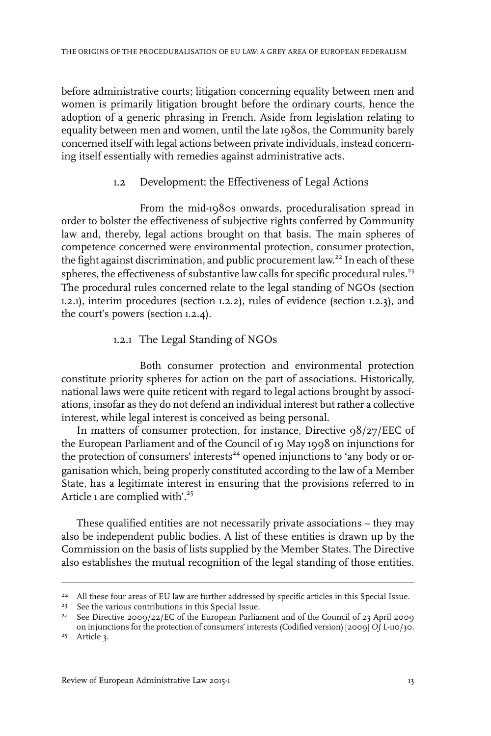before administrative courts; litigation concerning equality between men and women is primarily litigation brought before the ordinary courts, hence the adoption of a generic phrasing in French. Aside from legislation relating to equality between men and women, until the late 1980s, the Community barely concerned itself with legal actions between private individuals, instead concerning itself essentially with remedies against administrative acts.

#### 1.2 Development: the Effectiveness of Legal Actions

From the mid-1980s onwards, proceduralisation spread in order to bolster the effectiveness of subjective rights conferred by Community law and, thereby, legal actions brought on that basis. The main spheres of competence concerned were environmental protection, consumer protection, the fight against discrimination, and public procurement law.<sup>22</sup> In each of these spheres, the effectiveness of substantive law calls for specific procedural rules.<sup>23</sup> The procedural rules concerned relate to the legal standing of NGOs (section 1.2.1), interim procedures (section 1.2.2), rules of evidence (section 1.2.3), and the court's powers (section 1.2.4).

### 1.2.1 The Legal Standing of NGOs

Both consumer protection and environmental protection constitute priority spheres for action on the part of associations. Historically, national laws were quite reticent with regard to legal actions brought by associations, insofar as they do not defend an individual interest but rather a collective interest, while legal interest is conceived as being personal.

In matters of consumer protection, for instance, Directive  $98/27/EEC$  of the European Parliament and of the Council of 19 May 1998 on injunctions for the protection of consumers' interests<sup>24</sup> opened injunctions to 'any body or organisation which, being properly constituted according to the law of a Member State, has a legitimate interest in ensuring that the provisions referred to in Article 1 are complied with'.<sup>25</sup>

These qualified entities are not necessarily private associations – they may also be independent public bodies. A list of these entities is drawn up by the Commission on the basis of lists supplied by the Member States. The Directive also establishes the mutual recognition of the legal standing of those entities.

<sup>&</sup>lt;sup>22</sup> All these four areas of EU law are further addressed by specific articles in this Special Issue.

<sup>&</sup>lt;sup>23</sup> See the various contributions in this Special Issue.

<sup>&</sup>lt;sup>24</sup> See Directive 2009/22/EC of the European Parliament and of the Council of 23 April 2009 on injunctions for the protection of consumers' interests (Codified version) [2009] *OJ* L-110/30.

<sup>&</sup>lt;sup>25</sup> Article 3.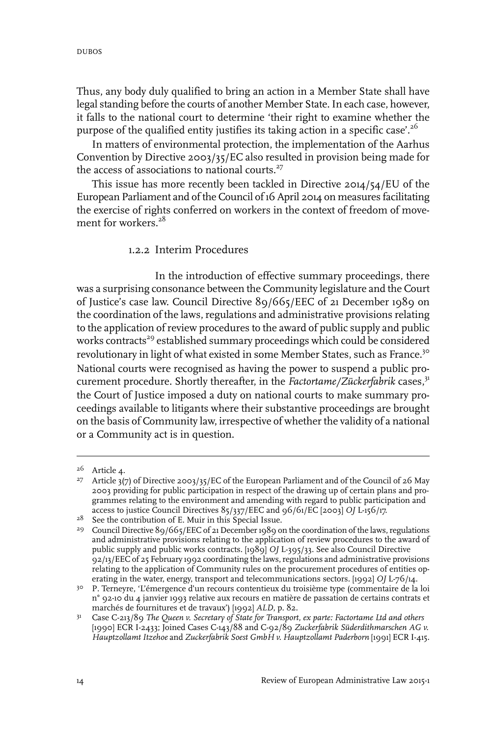Thus, any body duly qualified to bring an action in a Member State shall have legal standing before the courts of another Member State.In each case, however, it falls to the national court to determine 'their right to examine whether the purpose of the qualified entity justifies its taking action in a specific case'.<sup>26</sup>

In matters of environmental protection, the implementation of the Aarhus Convention by Directive 2003/35/EC also resulted in provision being made for the access of associations to national courts. $27$ 

This issue has more recently been tackled in Directive 2014/54/EU of the European Parliament and of the Council of 16 April 2014 on measures facilitating the exercise of rights conferred on workers in the context of freedom of movement for workers $28$ 

#### 1.2.2 Interim Procedures

In the introduction of effective summary proceedings, there was a surprising consonance between the Community legislature and the Court of Justice's case law. Council Directive 89/665/EEC of 21 December 1989 on the coordination of the laws, regulations and administrative provisions relating to the application of review procedures to the award of public supply and public works contracts<sup>29</sup> established summary proceedings which could be considered revolutionary in light of what existed in some Member States, such as France.<sup>30</sup> National courts were recognised as having the power to suspend a public procurement procedure. Shortly thereafter, in the *Factortame/Zückerfabrik* cases,<sup>31</sup> the Court of Justice imposed a duty on national courts to make summary proceedings available to litigants where their substantive proceedings are brought on the basis of Community law, irrespective of whether the validity of a national or a Community act is in question.

<sup>&</sup>lt;sup>26</sup> Article 4.

<sup>&</sup>lt;sup>27</sup> Article 3(7) of Directive 2003/35/EC of the European Parliament and of the Council of 26 May 2003 providing for public participation in respect of the drawing up of certain plans and programmes relating to the environment and amending with regard to public participation and access to justice Council Directives 85/337/EEC and 96/61/EC [2003] *OJ* L-156/17.

 $28$  See the contribution of E. Muir in this Special Issue.

<sup>&</sup>lt;sup>29</sup> Council Directive 89/665/EEC of 21 December 1989 on the coordination of the laws, regulations and administrative provisions relating to the application of review procedures to the award of public supply and public works contracts. [1989] *OJ* L-395/33. See also Council Directive  $92/13/EE\ddot{C}$  of 25 February 1992 coordinating the laws, regulations and administrative provisions relating to the application of Community rules on the procurement procedures of entities operating in the water, energy, transport and telecommunications sectors. [1992] *OJ* L-76/14.

<sup>30</sup> P. Terneyre, 'L'émergence d'un recours contentieux du troisième type (commentaire de la loi n° 92-10 du 4 janvier 1993 relative aux recours en matière de passation de certains contrats et marchés de fournitures et de travaux') [1992] *ALD*, p. 82.

Case C-213/89 *The Queen v. Secretary of State for Transport, ex parte: Factortame Ltd and others* [1990] ECR I-2433; Joined Cases C-143/88 and C-92/89 *Zuckerfabrik Süderdithmarschen AG v. Hauptzollamt Itzehoe* and *Zuckerfabrik Soest GmbH v. Hauptzollamt Paderborn* [1991] ECR I-415. 31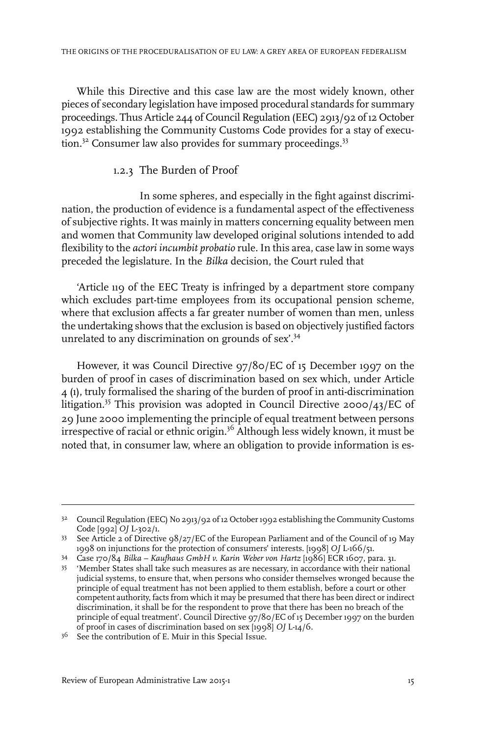While this Directive and this case law are the most widely known, other pieces of secondary legislation have imposed procedural standards for summary proceedings. Thus Article 244 of Council Regulation (EEC) 2913/92 of 12 October 1992 establishing the Community Customs Code provides for a stay of execution.<sup>32</sup> Consumer law also provides for summary proceedings.<sup>33</sup>

#### 1.2.3 The Burden of Proof

In some spheres, and especially in the fight against discrimination, the production of evidence is a fundamental aspect of the effectiveness of subjective rights. It was mainly in matters concerning equality between men and women that Community law developed original solutions intended to add flexibility to the *actori incumbit probatio* rule*.* In this area, case law in some ways preceded the legislature. In the *Bilka* decision, the Court ruled that

'Article 119 of the EEC Treaty is infringed by a department store company which excludes part-time employees from its occupational pension scheme, where that exclusion affects a far greater number of women than men, unless the undertaking shows that the exclusion is based on objectively justified factors unrelated to any discrimination on grounds of sex'.<sup>34</sup>

However, it was Council Directive 97/80/EC of 15 December 1997 on the burden of proof in cases of discrimination based on sex which, under Article 4 (1), truly formalised the sharing of the burden of proof in anti-discrimination litigation.<sup>35</sup> This provision was adopted in Council Directive 2000/43/EC of 29 June 2000 implementing the principle of equal treatment between persons irrespective of racial or ethnic origin.<sup>36</sup> Although less widely known, it must be noted that, in consumer law, where an obligation to provide information is es-

<sup>&</sup>lt;sup>32</sup> Council Regulation (EEC) No 2913/92 of 12 October 1992 establishing the Community Customs Code [992] *OJ* L-302/1.

<sup>33</sup> See Article 2 of Directive 98/27/EC of the European Parliament and of the Council of 19 May 1998 on injunctions for the protection of consumers' interests. [1998] *OJ* L-166/51.

Case 170/84 *Bilka – Kaufhaus GmbH v. Karin Weber von Hartz* [1986] ECR 1607, para. 31. <sup>34</sup>

<sup>&</sup>lt;sup>35</sup> 'Member States shall take such measures as are necessary, in accordance with their national judicial systems, to ensure that, when persons who consider themselves wronged because the principle of equal treatment has not been applied to them establish, before a court or other competent authority, facts from which it may be presumed that there has been direct or indirect discrimination, it shall be for the respondent to prove that there has been no breach of the principle of equal treatment'. Council Directive 97/80/EC of 15 December 1997 on the burden of proof in cases of discrimination based on sex [1998] *OJ* L-14/6.

 $36$  See the contribution of E. Muir in this Special Issue.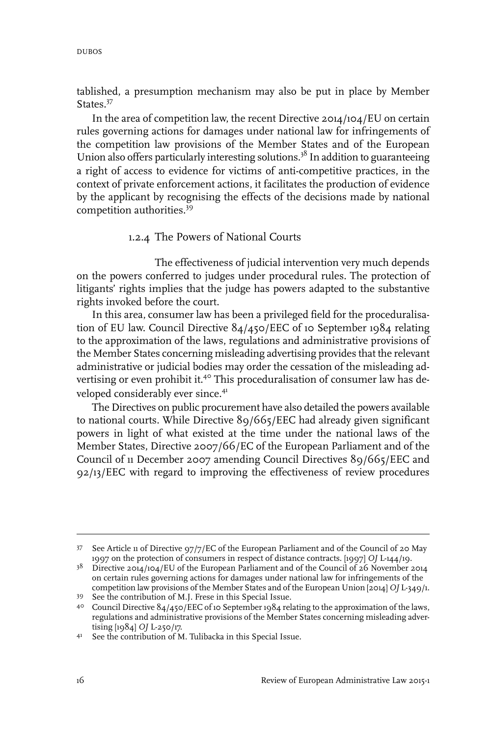tablished, a presumption mechanism may also be put in place by Member States<sup>37</sup>

In the area of competition law, the recent Directive 2014/104/EU on certain rules governing actions for damages under national law for infringements of the competition law provisions of the Member States and of the European Union also offers particularly interesting solutions.<sup>38</sup> In addition to guaranteeing a right of access to evidence for victims of anti-competitive practices, in the context of private enforcement actions, it facilitates the production of evidence by the applicant by recognising the effects of the decisions made by national competition authorities.<sup>39</sup>

#### 1.2.4 The Powers of National Courts

The effectiveness of judicial intervention very much depends on the powers conferred to judges under procedural rules. The protection of litigants' rights implies that the judge has powers adapted to the substantive rights invoked before the court.

In this area, consumer law has been a privileged field for the proceduralisation of EU law. Council Directive 84/450/EEC of 10 September 1984 relating to the approximation of the laws, regulations and administrative provisions of the Member States concerning misleading advertising provides that the relevant administrative or judicial bodies may order the cessation of the misleading advertising or even prohibit it.<sup>40</sup> This proceduralisation of consumer law has developed considerably ever since.<sup>41</sup>

The Directives on public procurement have also detailed the powers available to national courts. While Directive 89/665/EEC had already given significant powers in light of what existed at the time under the national laws of the Member States, Directive 2007/66/EC of the European Parliament and of the Council of 11 December 2007 amending Council Directives 89/665/EEC and 92/13/EEC with regard to improving the effectiveness of review procedures

<sup>37</sup> See Article 11 of Directive  $97/7$ /EC of the European Parliament and of the Council of 20 May 1997 on the protection of consumers in respect of distance contracts. [1997] *OJ* L-144/19.

<sup>&</sup>lt;sup>38</sup> Directive 2014/104/EU of the European Parliament and of the Council of 26 November 2014 on certain rules governing actions for damages under national law for infringements of the competition law provisions of the Member States and of the European Union [2014] *OJ* L-349/1.

<sup>39</sup> See the contribution of M.J. Frese in this Special Issue.

<sup>&</sup>lt;sup>40</sup> Council Directive 84/450/EEC of 10 September 1984 relating to the approximation of the laws, regulations and administrative provisions of the Member States concerning misleading advertising [1984] *OJ* L-250/17.

<sup>41</sup> See the contribution of M. Tulibacka in this Special Issue.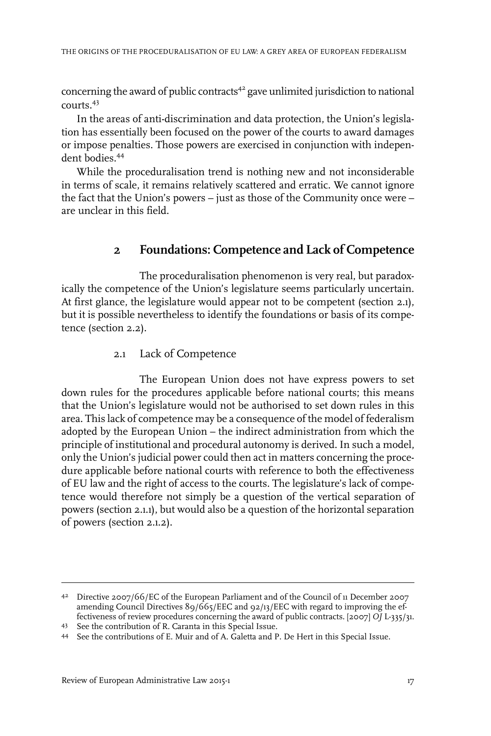concerning the award of public contracts<sup>42</sup> gave unlimited jurisdiction to national  $counts$ <sup>43</sup>

In the areas of anti-discrimination and data protection, the Union's legislation has essentially been focused on the power of the courts to award damages or impose penalties. Those powers are exercised in conjunction with independent bodies.<sup>44</sup>

While the proceduralisation trend is nothing new and not inconsiderable in terms of scale, it remains relatively scattered and erratic. We cannot ignore the fact that the Union's powers – just as those of the Community once were – are unclear in this field.

### **2 Foundations: Competence and Lack of Competence**

The proceduralisation phenomenon is very real, but paradoxically the competence of the Union's legislature seems particularly uncertain. At first glance, the legislature would appear not to be competent (section 2.1), but it is possible nevertheless to identify the foundations or basis of its competence (section 2.2).

#### 2.1 Lack of Competence

The European Union does not have express powers to set down rules for the procedures applicable before national courts; this means that the Union's legislature would not be authorised to set down rules in this area. This lack of competence may be a consequence of the model of federalism adopted by the European Union – the indirect administration from which the principle of institutional and procedural autonomy is derived. In such a model, only the Union's judicial power could then act in matters concerning the procedure applicable before national courts with reference to both the effectiveness of EU law and the right of access to the courts. The legislature's lack of competence would therefore not simply be a question of the vertical separation of powers (section 2.1.1), but would also be a question of the horizontal separation of powers (section 2.1.2).

Directive 2007/66/EC of the European Parliament and of the Council of 11 December 2007 42 amending Council Directives  $89/\overline{665}/\overline{EEC}$  and  $92/13/\overline{EEC}$  with regard to improving the effectiveness of review procedures concerning the award of public contracts. [2007] *OJ* L-335/31.

 $93$  See the contribution of R. Caranta in this Special Issue.

<sup>44</sup> See the contributions of E. Muir and of A. Galetta and P. De Hert in this Special Issue.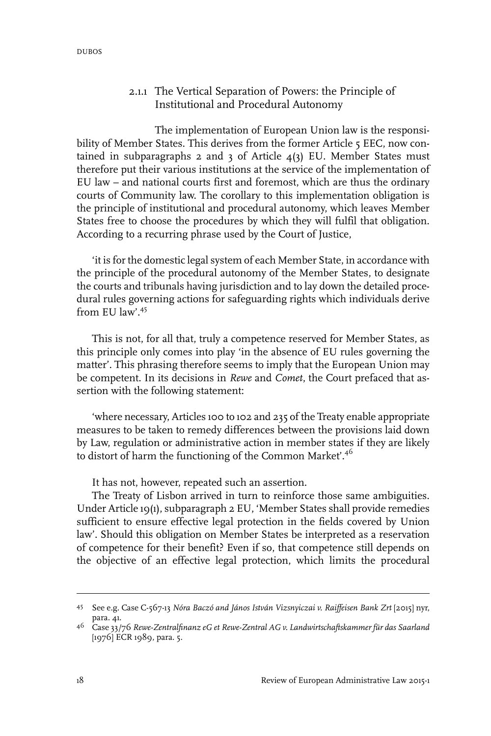### 2.1.1 The Vertical Separation of Powers: the Principle of Institutional and Procedural Autonomy

The implementation of European Union law is the responsibility of Member States. This derives from the former Article 5 EEC, now contained in subparagraphs  $2$  and  $3$  of Article  $4(3)$  EU. Member States must therefore put their various institutions at the service of the implementation of EU law – and national courts first and foremost, which are thus the ordinary courts of Community law. The corollary to this implementation obligation is the principle of institutional and procedural autonomy, which leaves Member States free to choose the procedures by which they will fulfil that obligation. According to a recurring phrase used by the Court of Justice,

'it is forthe domestic legal system of each Member State, in accordance with the principle of the procedural autonomy of the Member States, to designate the courts and tribunals having jurisdiction and to lay down the detailed procedural rules governing actions for safeguarding rights which individuals derive from  $E$ I law'  $45$ 

This is not, for all that, truly a competence reserved for Member States, as this principle only comes into play 'in the absence of EU rules governing the matter'. This phrasing therefore seems to imply that the European Union may be competent. In its decisions in *Rewe* and *Comet*, the Court prefaced that assertion with the following statement:

'where necessary, Articles 100 to 102 and 235 of the Treaty enable appropriate measures to be taken to remedy differences between the provisions laid down by Law, regulation or administrative action in member states if they are likely to distort of harm the functioning of the Common Market'.<sup>46</sup>

It has not, however, repeated such an assertion.

The Treaty of Lisbon arrived in turn to reinforce those same ambiguities. Under Article 19(1), subparagraph 2 EU, 'Member States shall provide remedies sufficient to ensure effective legal protection in the fields covered by Union law'. Should this obligation on Member States be interpreted as a reservation of competence for their benefit? Even if so, that competence still depends on the objective of an effective legal protection, which limits the procedural

See e.g. Case C-567-13 *Nóra Baczó and János István Vizsnyiczai v. Raiffeisen Bank Zrt* [2015] nyr, 45 para. 41.

Case 33/76 *Rewe-Zentralfinanz eG et Rewe-Zentral AG v. Landwirtschaftskammer für das Saarland* 46 [1976] ECR 1989, para. 5.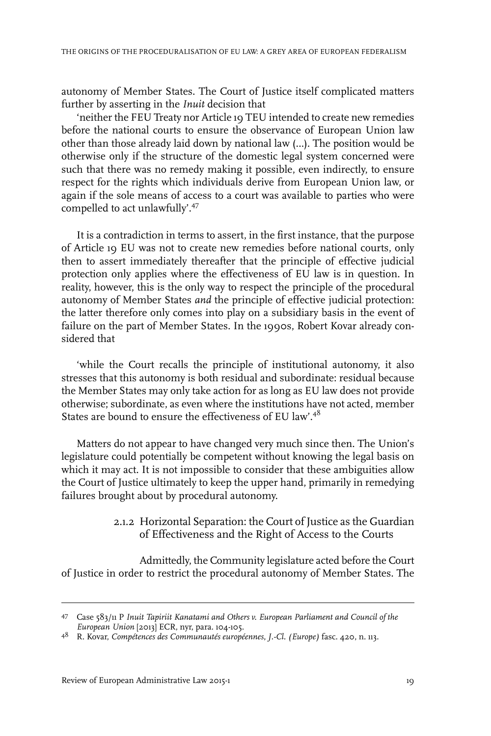autonomy of Member States. The Court of Justice itself complicated matters further by asserting in the *Inuit* decision that

'neither the FEU Treaty nor Article 19 TEU intended to create new remedies before the national courts to ensure the observance of European Union law other than those already laid down by national law (…). The position would be otherwise only if the structure of the domestic legal system concerned were such that there was no remedy making it possible, even indirectly, to ensure respect for the rights which individuals derive from European Union law, or again if the sole means of access to a court was available to parties who were compelled to act unlawfully'.<sup>47</sup>

It is a contradiction in terms to assert, in the first instance, that the purpose of Article 19 EU was not to create new remedies before national courts, only then to assert immediately thereafter that the principle of effective judicial protection only applies where the effectiveness of EU law is in question. In reality, however, this is the only way to respect the principle of the procedural autonomy of Member States *and* the principle of effective judicial protection: the latter therefore only comes into play on a subsidiary basis in the event of failure on the part of Member States. In the 1990s, Robert Kovar already considered that

'while the Court recalls the principle of institutional autonomy, it also stresses that this autonomy is both residual and subordinate: residual because the Member States may only take action for as long as EU law does not provide otherwise; subordinate, as even where the institutions have not acted, member States are bound to ensure the effectiveness of EU law'.<sup>48</sup>

Matters do not appear to have changed very much since then. The Union's legislature could potentially be competent without knowing the legal basis on which it may act. It is not impossible to consider that these ambiguities allow the Court of Justice ultimately to keep the upper hand, primarily in remedying failures brought about by procedural autonomy.

> 2.1.2 Horizontal Separation: the Court of Justice as the Guardian of Effectiveness and the Right of Access to the Courts

Admittedly, the Community legislature acted before the Court of Justice in order to restrict the procedural autonomy of Member States. The

Case 583/11 P *Inuit Tapiriit Kanatami and Others v. European Parliament and Council of the* 47 *European Union* [2013] ECR, nyr, para. 104-105.

R. Kovar, *Compétences des Communautés européennes*, *J.-Cl. (Europe)* fasc. 420, n. 113. <sup>48</sup>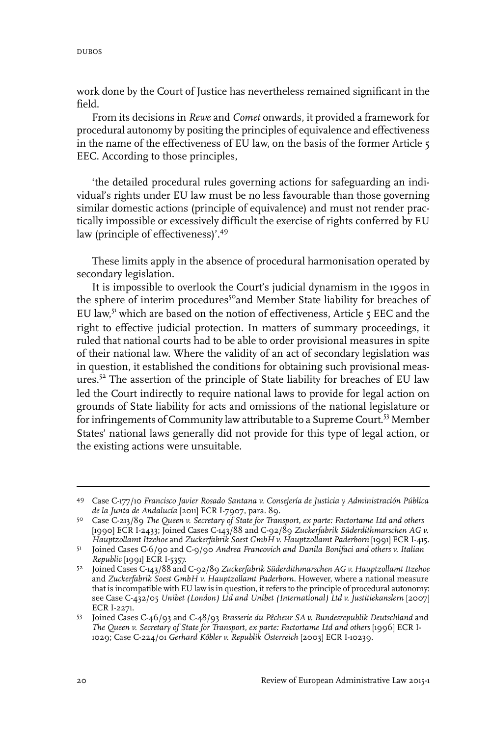work done by the Court of Justice has nevertheless remained significant in the field.

From its decisions in *Rewe* and *Comet* onwards, it provided a framework for procedural autonomy by positing the principles of equivalence and effectiveness in the name of the effectiveness of EU law, on the basis of the former Article 5 EEC. According to those principles,

'the detailed procedural rules governing actions for safeguarding an individual's rights under EU law must be no less favourable than those governing similar domestic actions (principle of equivalence) and must not render practically impossible or excessively difficult the exercise of rights conferred by EU law (principle of effectiveness)'.<sup>49</sup>

These limits apply in the absence of procedural harmonisation operated by secondary legislation.

It is impossible to overlook the Court's judicial dynamism in the 1990s in the sphere of interim procedures<sup>50</sup>and Member State liability for breaches of EU law,<sup>51</sup> which are based on the notion of effectiveness, Article 5 EEC and the right to effective judicial protection. In matters of summary proceedings, it ruled that national courts had to be able to order provisional measures in spite of their national law. Where the validity of an act of secondary legislation was in question, it established the conditions for obtaining such provisional measures.<sup>52</sup> The assertion of the principle of State liability for breaches of EU law led the Court indirectly to require national laws to provide for legal action on grounds of State liability for acts and omissions of the national legislature or for infringements of Community law attributable to a Supreme Court.<sup>53</sup> Member States' national laws generally did not provide for this type of legal action, or the existing actions were unsuitable.

Case C-177/10 *Francisco Javier Rosado Santana v. Consejería de Justicia y Administración Pública* 49 *de la Junta de Andalucía* [2011] ECR I-7907, para. 89.

Case C-213/89 *The Queen v. Secretary of State for Transport, ex parte: Factortame Ltd and others* 50 [1990] ECR I-2433; Joined Cases C-143/88 and C-92/89 *Zuckerfabrik Süderdithmarschen AG v. Hauptzollamt Itzehoe* and *Zuckerfabrik Soest GmbH v. Hauptzollamt Paderborn* [1991] ECR I-415.

Joined Cases C-6/90 and C-9/90 *Andrea Francovich and Danila Bonifaci and others v. Italian* 51 *Republic* [1991] ECR I-5357.

<sup>5&</sup>lt;sup>2</sup> Joined Cases C-143/88 and C-92/89 *Zuckerfabrik Süderdithmarschen AG v. Hauptzollamt Itzehoe* and *Zuckerfabrik Soest GmbH v. Hauptzollamt Paderborn*. However, where a national measure that is incompatible with EU law is in question, itrefers to the principle of procedural autonomy: see Case C-432/05 *Unibet (London) Ltd and Unibet (International) Ltd v. Justitiekanslern* [2007] ECR I-2271.

Joined Cases C-46/93 and C-48/93 *Brasserie du Pêcheur SA v. Bundesrepublik Deutschland* and 53 *The Queen v. Secretary of State for Transport, ex parte: Factortame Ltd and others* [1996] ECR I-1029; Case C-224/01 *Gerhard Köbler v. Republik Österreich* [2003] ECR I-10239.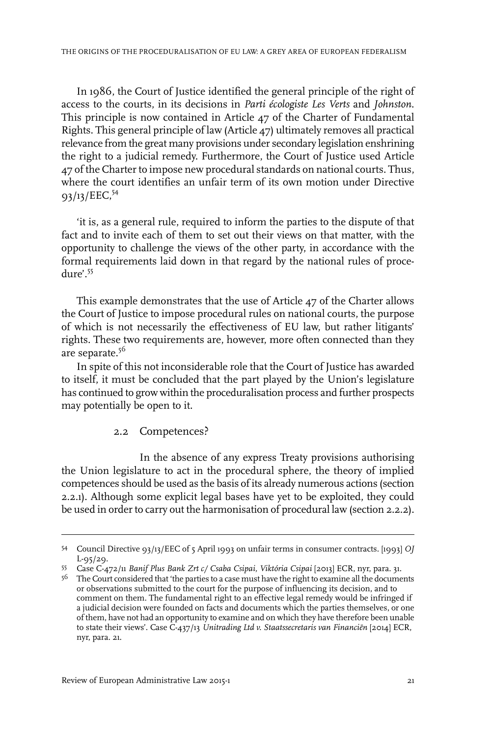In 1986, the Court of Justice identified the general principle of the right of access to the courts, in its decisions in *Parti écologiste Les Verts* and *Johnston*. This principle is now contained in Article  $47$  of the Charter of Fundamental Rights. This general principle of law (Article 47) ultimately removes all practical relevance from the great many provisions under secondary legislation enshrining the right to a judicial remedy. Furthermore, the Court of Justice used Article 47 of the Charter to impose new procedural standards on national courts. Thus, where the court identifies an unfair term of its own motion under Directive 93/13/EEC,<sup>54</sup>

'it is, as a general rule, required to inform the parties to the dispute of that fact and to invite each of them to set out their views on that matter, with the opportunity to challenge the views of the other party, in accordance with the formal requirements laid down in that regard by the national rules of procedure'<sup>55</sup>

This example demonstrates that the use of Article 47 of the Charter allows the Court of Justice to impose procedural rules on national courts, the purpose of which is not necessarily the effectiveness of EU law, but rather litigants' rights. These two requirements are, however, more often connected than they are separate.<sup>56</sup>

In spite of this not inconsiderable role that the Court of Justice has awarded to itself, it must be concluded that the part played by the Union's legislature has continued to grow within the proceduralisation process and further prospects may potentially be open to it.

#### 2.2 Competences?

In the absence of any express Treaty provisions authorising the Union legislature to act in the procedural sphere, the theory of implied competences should be used as the basis of its already numerous actions (section 2.2.1). Although some explicit legal bases have yet to be exploited, they could be used in order to carry out the harmonisation of procedural law (section 2.2.2).

Council Directive 93/13/EEC of 5 April 1993 on unfair terms in consumer contracts. [1993] *OJ* 54  $L - 95/29$ .

Case C-472/11 *Banif Plus Bank Zrt c/ Csaba Csipai, Viktória Csipai* [2013] ECR, nyr, para. 31. <sup>55</sup>

 $^{56}$   $\,$  The Court considered that 'the parties to a case must have the right to examine all the documents or observations submitted to the court for the purpose of influencing its decision, and to comment on them. The fundamental right to an effective legal remedy would be infringed if a judicial decision were founded on facts and documents which the parties themselves, or one of them, have not had an opportunity to examine and on which they have therefore been unable to state their views'. Case C-437/13 *Unitrading Ltd v. Staatssecretaris van Financiën* [2014] ECR, nyr, para. 21.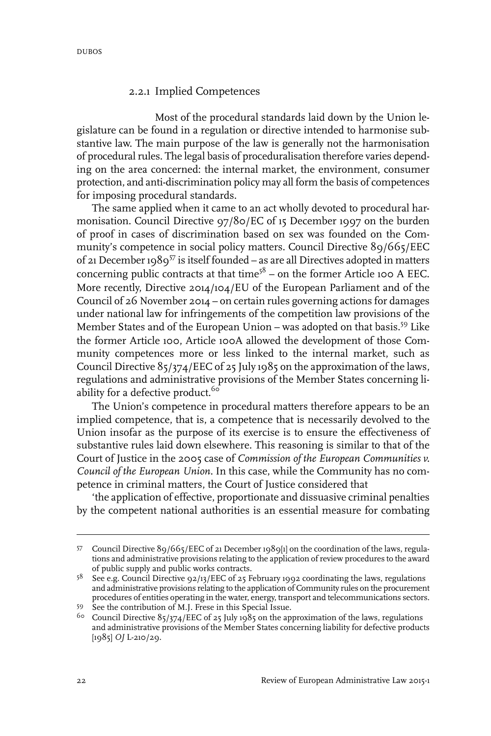#### 2.2.1 Implied Competences

Most of the procedural standards laid down by the Union legislature can be found in a regulation or directive intended to harmonise substantive law. The main purpose of the law is generally not the harmonisation of procedural rules. The legal basis of proceduralisation therefore varies depending on the area concerned: the internal market, the environment, consumer protection, and anti-discrimination policy may all form the basis of competences for imposing procedural standards.

The same applied when it came to an act wholly devoted to procedural harmonisation. Council Directive 97/80/EC of 15 December 1997 on the burden of proof in cases of discrimination based on sex was founded on the Community's competence in social policy matters. Council Directive 89/665/EEC of 21 December 1989<sup>57</sup> is itself founded – as are all Directives adopted in matters concerning public contracts at that time $5^8$  – on the former Article 100 A EEC. More recently, Directive 2014/104/EU of the European Parliament and of the Council of 26 November 2014 – on certain rules governing actions for damages under national law for infringements of the competition law provisions of the Member States and of the European Union – was adopted on that basis.<sup>59</sup> Like the former Article 100, Article 100A allowed the development of those Community competences more or less linked to the internal market, such as Council Directive 85/374/EEC of 25 July 1985 on the approximation of the laws, regulations and administrative provisions of the Member States concerning liability for a defective product.<sup>60</sup>

The Union's competence in procedural matters therefore appears to be an implied competence, that is, a competence that is necessarily devolved to the Union insofar as the purpose of its exercise is to ensure the effectiveness of substantive rules laid down elsewhere. This reasoning is similar to that of the Court of Justice in the 2005 case of *Commission of the European Communities v. Council of the European Union*. In this case, while the Community has no competence in criminal matters, the Court of Justice considered that

'the application of effective, proportionate and dissuasive criminal penalties by the competent national authorities is an essential measure for combating

59 See the contribution of M.J. Frese in this Special Issue.

Council Directive 89/665/EEC of 21 December 1989[1] on the coordination of the laws, regula-57 tions and administrative provisions relating to the application of review procedures to the award of public supply and public works contracts.

<sup>&</sup>lt;sup>58</sup> See e.g. Council Directive  $92/13/EEC$  of 25 February 1992 coordinating the laws, regulations and administrative provisions relating to the application of Community rules on the procurement procedures of entities operating in the water, energy, transport and telecommunications sectors.

<sup>&</sup>lt;sup>60</sup> Council Directive  $85/374/EEC$  of 25 July 1985 on the approximation of the laws, regulations and administrative provisions of the Member States concerning liability for defective products [1985] *OJ* L-210/29.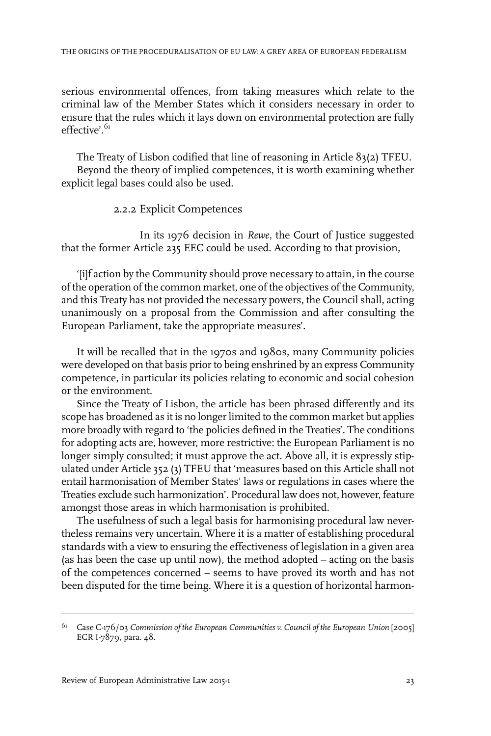serious environmental offences, from taking measures which relate to the criminal law of the Member States which it considers necessary in order to ensure that the rules which it lays down on environmental protection are fully effective'.<sup>61</sup>

The Treaty of Lisbon codified that line of reasoning in Article 83(2) TFEU. Beyond the theory of implied competences, it is worth examining whether explicit legal bases could also be used.

2.2.2 Explicit Competences

In its 1976 decision in *Rewe*, the Court of Justice suggested that the former Article 235 EEC could be used. According to that provision,

'[i]f action by the Community should prove necessary to attain, in the course of the operation of the common market, one of the objectives of the Community, and this Treaty has not provided the necessary powers, the Council shall, acting unanimously on a proposal from the Commission and after consulting the European Parliament, take the appropriate measures'.

It will be recalled that in the 1970s and 1980s, many Community policies were developed on that basis prior to being enshrined by an express Community competence, in particular its policies relating to economic and social cohesion or the environment.

Since the Treaty of Lisbon, the article has been phrased differently and its scope has broadened as it is no longer limited to the common market but applies more broadly with regard to 'the policies defined in the Treaties'. The conditions for adopting acts are, however, more restrictive: the European Parliament is no longer simply consulted; it must approve the act. Above all, it is expressly stipulated under Article 352 (3) TFEU that 'measures based on this Article shall not entail harmonisation of Member States' laws or regulations in cases where the Treaties exclude such harmonization'. Procedural law does not, however, feature amongst those areas in which harmonisation is prohibited.

The usefulness of such a legal basis for harmonising procedural law nevertheless remains very uncertain. Where it is a matter of establishing procedural standards with a view to ensuring the effectiveness of legislation in a given area (as has been the case up until now), the method adopted – acting on the basis of the competences concerned – seems to have proved its worth and has not been disputed for the time being. Where it is a question of horizontal harmon-

Case C-176/03 *Commission of the European Communities v. Council of the European Union* [2005] 61 ECR I-7879, para. 48.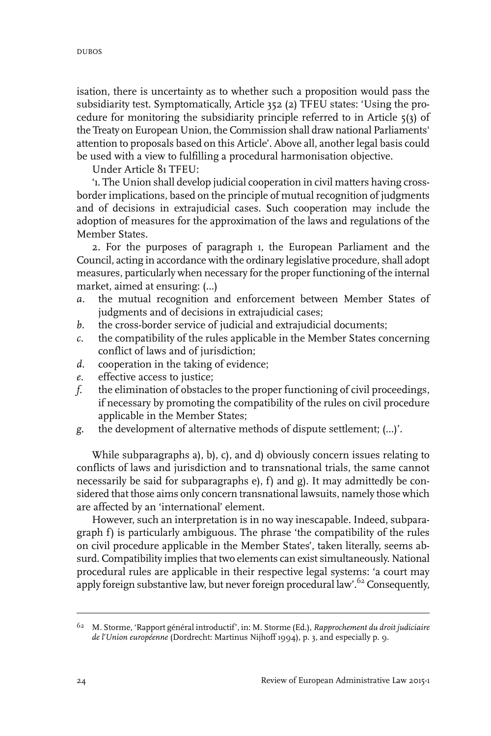isation, there is uncertainty as to whether such a proposition would pass the subsidiarity test. Symptomatically, Article 352 (2) TFEU states: 'Using the procedure for monitoring the subsidiarity principle referred to in Article 5(3) of the Treaty on European Union, the Commission shall draw national Parliaments' attention to proposals based on this Article'. Above all, another legal basis could be used with a view to fulfilling a procedural harmonisation objective.

Under Article 81 TFEU:

'1. The Union shall develop judicial cooperation in civil matters having crossborder implications, based on the principle of mutual recognition of judgments and of decisions in extrajudicial cases. Such cooperation may include the adoption of measures for the approximation of the laws and regulations of the Member States.

2. For the purposes of paragraph 1, the European Parliament and the Council, acting in accordance with the ordinary legislative procedure, shall adopt measures, particularly when necessary for the proper functioning of the internal market, aimed at ensuring: (…)

- *a.* the mutual recognition and enforcement between Member States of judgments and of decisions in extrajudicial cases;
- *b.* the cross-border service of judicial and extrajudicial documents;
- *c.* the compatibility of the rules applicable in the Member States concerning conflict of laws and of jurisdiction;
- *d.* cooperation in the taking of evidence;
- *e.* effective access to justice;
- *f.* the elimination of obstacles to the proper functioning of civil proceedings, if necessary by promoting the compatibility of the rules on civil procedure applicable in the Member States;
- *g.* the development of alternative methods of dispute settlement; (…)'.

While subparagraphs a), b), c), and d) obviously concern issues relating to conflicts of laws and jurisdiction and to transnational trials, the same cannot necessarily be said for subparagraphs e), f) and g). It may admittedly be considered that those aims only concern transnational lawsuits, namely those which are affected by an 'international' element.

However, such an interpretation is in no way inescapable. Indeed, subparagraph f) is particularly ambiguous. The phrase 'the compatibility of the rules on civil procedure applicable in the Member States', taken literally, seems absurd. Compatibility implies that two elements can exist simultaneously. National procedural rules are applicable in their respective legal systems: 'a court may apply foreign substantive law, but never foreign procedural law'.<sup>62</sup> Consequently,

M. Storme, 'Rapport général introductif', in: M. Storme (Ed.), *Rapprochement du droit judiciaire* 62 *de l'Union européenne* (Dordrecht: Martinus Nijhoff 1994), p. 3, and especially p. 9.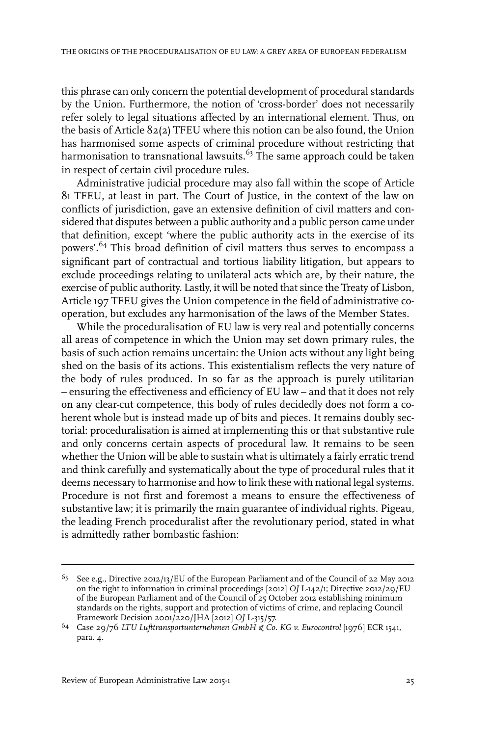this phrase can only concern the potential development of procedural standards by the Union. Furthermore, the notion of 'cross-border' does not necessarily refer solely to legal situations affected by an international element. Thus, on the basis of Article 82(2) TFEU where this notion can be also found, the Union has harmonised some aspects of criminal procedure without restricting that harmonisation to transnational lawsuits.<sup>63</sup> The same approach could be taken in respect of certain civil procedure rules.

Administrative judicial procedure may also fall within the scope of Article 81 TFEU, at least in part. The Court of Justice, in the context of the law on conflicts of jurisdiction, gave an extensive definition of civil matters and considered that disputes between a public authority and a public person came under that definition, except 'where the public authority acts in the exercise of its powers'.<sup>64</sup> This broad definition of civil matters thus serves to encompass a significant part of contractual and tortious liability litigation, but appears to exclude proceedings relating to unilateral acts which are, by their nature, the exercise of public authority. Lastly, it will be noted that since the Treaty of Lisbon, Article 197 TFEU gives the Union competence in the field of administrative cooperation, but excludes any harmonisation of the laws of the Member States.

While the proceduralisation of EU law is very real and potentially concerns all areas of competence in which the Union may set down primary rules, the basis of such action remains uncertain: the Union acts without any light being shed on the basis of its actions. This existentialism reflects the very nature of the body of rules produced. In so far as the approach is purely utilitarian – ensuring the effectiveness and efficiency of EU law – and that it does not rely on any clear-cut competence, this body of rules decidedly does not form a coherent whole but is instead made up of bits and pieces. It remains doubly sectorial: proceduralisation is aimed at implementing this or that substantive rule and only concerns certain aspects of procedural law. It remains to be seen whether the Union will be able to sustain what is ultimately a fairly erratic trend and think carefully and systematically about the type of procedural rules that it deems necessary to harmonise and how to link these with national legal systems. Procedure is not first and foremost a means to ensure the effectiveness of substantive law; it is primarily the main guarantee of individual rights. Pigeau, the leading French proceduralist after the revolutionary period, stated in what is admittedly rather bombastic fashion:

 $^{63}$  See e.g., Directive 2012/13/EU of the European Parliament and of the Council of 22 May 2012 on the right to information in criminal proceedings [2012] *OJ* L-142/1; Directive 2012/29/EU of the European Parliament and of the Council of 25 October 2012 establishing minimum standards on the rights, support and protection of victims of crime, and replacing Council Framework Decision 2001/220/JHA [2012] *OJ* L-315/57.

Case 29/76 *LTU Lufttransportunternehmen GmbH & Co. KG v. Eurocontrol* [1976] ECR 1541, 64 para. 4.